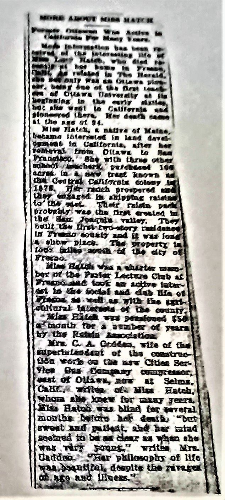## MORE AROUT NIGH HATCH

**First av** Wes Action Burnis For Many Years.

Mode intermation has be Interesting life Haish, who 65.66 Ėē **har** home in  $r =$ ated in The Hersta. Sonly Wal an Ottawa plo<br>ing one of the first teas ad Ottawa University y for **GAL** heginning in the carly of d z tie sionaered there, Her death car the sac of at.

Miss Hatch, a native of Maine, became interested in land devel-<br>opment in California, after her remeral from Oliaws to San Francisco. She with three other<br>suhedi trachart, putchised 194 the Coutral California colouy in 1878. Her ranch prospered and to the met. Their raisin pad probably was the first created in the San Joaquin valley. They in Freezo county and it was lona slide pixes. The property is toos called south of the city  $\bullet$ Fresno.

Miss Hatch was a charter manber of the Parter Lecture Club at ast is the focial and dub like of Frame as well as with the surfcolleral interests of the county. "Miss Hatch was pensioned \$50 a month for a sumber of years. by the Raisin Association

Mrz. C. A. Crdden, wife of the superintendant of the construction work on the new Cities Ser-Vice Gas Company compressor, cast of Ollawa, now at Seima. Calif., witha of Miss Hatch, whom also knew for many years. Miss Hatch was blind for several months before her death, "but awest and patient, and her mind sectored to be se clear as when she was rery young," writes Mrs. Cadden. "Her philosophy of life was beautiful, despite the ravages. of age and liness."